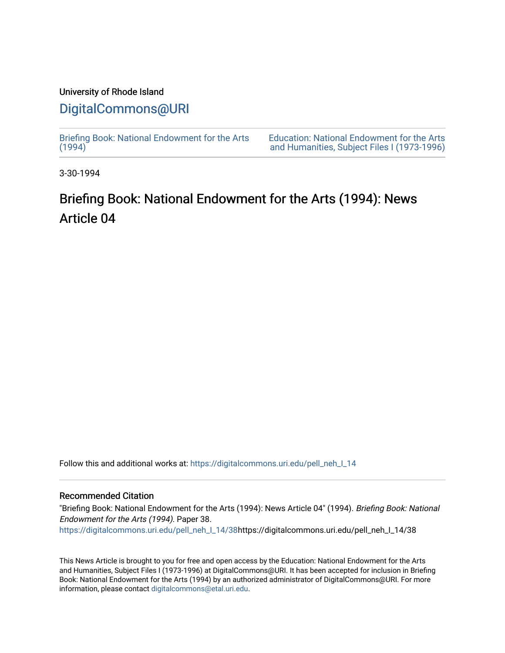### University of Rhode Island

## [DigitalCommons@URI](https://digitalcommons.uri.edu/)

[Briefing Book: National Endowment for the Arts](https://digitalcommons.uri.edu/pell_neh_I_14)  $(1994)$ 

[Education: National Endowment for the Arts](https://digitalcommons.uri.edu/pell_neh_I)  [and Humanities, Subject Files I \(1973-1996\)](https://digitalcommons.uri.edu/pell_neh_I) 

3-30-1994

# Briefing Book: National Endowment for the Arts (1994): News Article 04

Follow this and additional works at: [https://digitalcommons.uri.edu/pell\\_neh\\_I\\_14](https://digitalcommons.uri.edu/pell_neh_I_14?utm_source=digitalcommons.uri.edu%2Fpell_neh_I_14%2F38&utm_medium=PDF&utm_campaign=PDFCoverPages) 

### Recommended Citation

"Briefing Book: National Endowment for the Arts (1994): News Article 04" (1994). Briefing Book: National Endowment for the Arts (1994). Paper 38. [https://digitalcommons.uri.edu/pell\\_neh\\_I\\_14/38h](https://digitalcommons.uri.edu/pell_neh_I_14/38?utm_source=digitalcommons.uri.edu%2Fpell_neh_I_14%2F38&utm_medium=PDF&utm_campaign=PDFCoverPages)ttps://digitalcommons.uri.edu/pell\_neh\_I\_14/38

This News Article is brought to you for free and open access by the Education: National Endowment for the Arts and Humanities, Subject Files I (1973-1996) at DigitalCommons@URI. It has been accepted for inclusion in Briefing Book: National Endowment for the Arts (1994) by an authorized administrator of DigitalCommons@URI. For more information, please contact [digitalcommons@etal.uri.edu.](mailto:digitalcommons@etal.uri.edu)